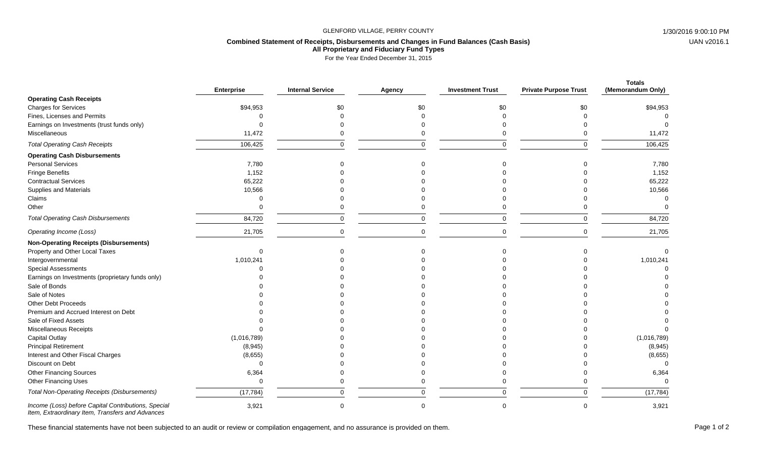## GLENFORD VILLAGE, PERRY COUNTY **1/30/2016 9:00:10 PM**

## **Combined Statement of Receipts, Disbursements and Changes in Fund Balances (Cash Basis) All Proprietary and Fiduciary Fund Types**

For the Year Ended December 31, 2015

|                                                     | <b>Enterprise</b> | <b>Internal Service</b> | Agency   | <b>Investment Trust</b> | <b>Private Purpose Trust</b> | <b>Totals</b><br>(Memorandum Only) |
|-----------------------------------------------------|-------------------|-------------------------|----------|-------------------------|------------------------------|------------------------------------|
| <b>Operating Cash Receipts</b>                      |                   |                         |          |                         |                              |                                    |
| <b>Charges for Services</b>                         | \$94,953          | \$0                     | \$0      | \$0                     | \$0                          | \$94,953                           |
| Fines, Licenses and Permits                         |                   |                         |          |                         |                              |                                    |
| Earnings on Investments (trust funds only)          |                   |                         |          |                         |                              |                                    |
| Miscellaneous                                       | 11,472            |                         |          |                         |                              | 11,472                             |
| <b>Total Operating Cash Receipts</b>                | 106,425           | $\Omega$                |          | $\Omega$                | $\Omega$                     | 106,425                            |
| <b>Operating Cash Disbursements</b>                 |                   |                         |          |                         |                              |                                    |
| <b>Personal Services</b>                            | 7,780             |                         |          |                         |                              | 7,780                              |
| Fringe Benefits                                     | 1,152             |                         |          |                         |                              | 1,152                              |
| <b>Contractual Services</b>                         | 65,222            |                         |          |                         |                              | 65,222                             |
| <b>Supplies and Materials</b>                       | 10,566            |                         |          |                         |                              | 10,566                             |
| Claims                                              | $\Omega$          |                         |          |                         |                              |                                    |
| Other                                               | $\Omega$          |                         |          |                         |                              |                                    |
| <b>Total Operating Cash Disbursements</b>           | 84,720            | $\Omega$                |          | $\Omega$                | $\Omega$                     | 84,720                             |
| Operating Income (Loss)                             | 21,705            | $\Omega$                | $\Omega$ | $\Omega$                | $\Omega$                     | 21,705                             |
| <b>Non-Operating Receipts (Disbursements)</b>       |                   |                         |          |                         |                              |                                    |
| Property and Other Local Taxes                      | $\Omega$          |                         |          |                         |                              |                                    |
| Intergovernmental                                   | 1,010,241         |                         |          |                         |                              | 1,010,241                          |
| <b>Special Assessments</b>                          |                   |                         |          |                         |                              |                                    |
| Earnings on Investments (proprietary funds only)    |                   |                         |          |                         |                              |                                    |
| Sale of Bonds                                       |                   |                         |          |                         |                              |                                    |
| Sale of Notes                                       |                   |                         |          |                         |                              |                                    |
| Other Debt Proceeds                                 |                   |                         |          |                         |                              |                                    |
| Premium and Accrued Interest on Debt                |                   |                         |          |                         |                              |                                    |
| Sale of Fixed Assets                                |                   |                         |          |                         |                              |                                    |
| Miscellaneous Receipts                              |                   |                         |          |                         |                              |                                    |
| Capital Outlay                                      | (1,016,789)       |                         |          |                         |                              | (1,016,789)                        |
| <b>Principal Retirement</b>                         | (8,945)           |                         |          |                         |                              | (8,945)                            |
| Interest and Other Fiscal Charges                   | (8,655)           |                         |          |                         |                              | (8,655)                            |
| Discount on Debt                                    | $\Omega$          |                         |          |                         |                              |                                    |
| <b>Other Financing Sources</b>                      | 6,364             |                         |          |                         |                              | 6,364                              |
| <b>Other Financing Uses</b>                         | $\Omega$          |                         |          |                         |                              |                                    |
| <b>Total Non-Operating Receipts (Disbursements)</b> | (17, 784)         |                         |          | $\Omega$                |                              | (17, 784)                          |
| Income (Loss) before Capital Contributions, Special | 3,921             | $\Omega$                |          | $\Omega$                | $\Omega$                     | 3,921                              |

*Item, Extraordinary Item, Transfers and Advances*

These financial statements have not been subjected to an audit or review or compilation engagement, and no assurance is provided on them.